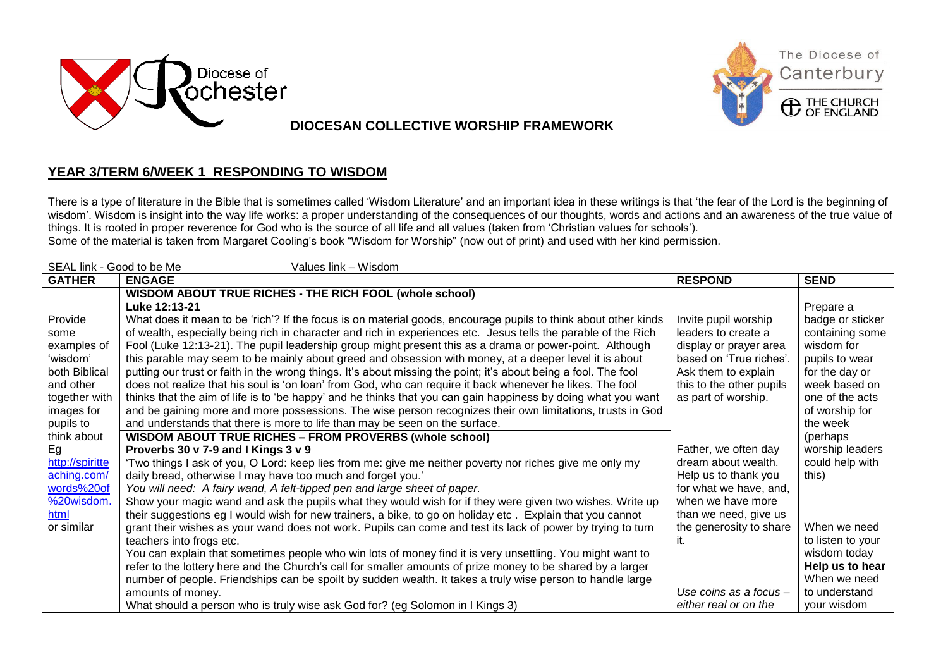





**C** THE CHURCH

## **DIOCESAN COLLECTIVE WORSHIP FRAMEWORK**

## **YEAR 3/TERM 6/WEEK 1 RESPONDING TO WISDOM**

There is a type of literature in the Bible that is sometimes called 'Wisdom Literature' and an important idea in these writings is that 'the fear of the Lord is the beginning of wisdom'. Wisdom is insight into the way life works: a proper understanding of the consequences of our thoughts, words and actions and an awareness of the true value of things. It is rooted in proper reverence for God who is the source of all life and all values (taken from 'Christian values for schools').

Some of the material is taken from Margaret Cooling's book "Wisdom for Worship" (now out of print) and used with her kind permission.

| SEAL link - Good to be Me<br>Values link - Wisdom |                                                                                                                 |                          |                   |  |  |
|---------------------------------------------------|-----------------------------------------------------------------------------------------------------------------|--------------------------|-------------------|--|--|
| <b>GATHER</b>                                     | <b>ENGAGE</b>                                                                                                   | <b>RESPOND</b>           | <b>SEND</b>       |  |  |
|                                                   | WISDOM ABOUT TRUE RICHES - THE RICH FOOL (whole school)                                                         |                          |                   |  |  |
|                                                   | Luke 12:13-21                                                                                                   |                          | Prepare a         |  |  |
| Provide                                           | What does it mean to be 'rich'? If the focus is on material goods, encourage pupils to think about other kinds  | Invite pupil worship     | badge or sticker  |  |  |
| some                                              | of wealth, especially being rich in character and rich in experiences etc. Jesus tells the parable of the Rich  | leaders to create a      | containing some   |  |  |
| examples of                                       | Fool (Luke 12:13-21). The pupil leadership group might present this as a drama or power-point. Although         | display or prayer area   | wisdom for        |  |  |
| 'wisdom'                                          | this parable may seem to be mainly about greed and obsession with money, at a deeper level it is about          | based on 'True riches'.  | pupils to wear    |  |  |
| both Biblical                                     | putting our trust or faith in the wrong things. It's about missing the point; it's about being a fool. The fool | Ask them to explain      | for the day or    |  |  |
| and other                                         | does not realize that his soul is 'on loan' from God, who can require it back whenever he likes. The fool       | this to the other pupils | week based on     |  |  |
| together with                                     | thinks that the aim of life is to 'be happy' and he thinks that you can gain happiness by doing what you want   | as part of worship.      | one of the acts   |  |  |
| images for                                        | and be gaining more and more possessions. The wise person recognizes their own limitations, trusts in God       |                          | of worship for    |  |  |
| pupils to                                         | and understands that there is more to life than may be seen on the surface.                                     |                          | the week          |  |  |
| think about                                       | <b>WISDOM ABOUT TRUE RICHES - FROM PROVERBS (whole school)</b>                                                  |                          | (perhaps          |  |  |
| Eg                                                | Proverbs 30 v 7-9 and I Kings 3 v 9                                                                             | Father, we often day     | worship leaders   |  |  |
| http://spiritte                                   | 'Two things I ask of you, O Lord: keep lies from me: give me neither poverty nor riches give me only my         | dream about wealth.      | could help with   |  |  |
| aching.com/                                       | daily bread, otherwise I may have too much and forget you.'                                                     | Help us to thank you     | this)             |  |  |
| words%20of                                        | You will need: A fairy wand, A felt-tipped pen and large sheet of paper.                                        | for what we have, and,   |                   |  |  |
| %20wisdom.                                        | Show your magic wand and ask the pupils what they would wish for if they were given two wishes. Write up        | when we have more        |                   |  |  |
| html                                              | their suggestions eg I would wish for new trainers, a bike, to go on holiday etc. Explain that you cannot       | than we need, give us    |                   |  |  |
| or similar                                        | grant their wishes as your wand does not work. Pupils can come and test its lack of power by trying to turn     | the generosity to share  | When we need      |  |  |
|                                                   | teachers into frogs etc.                                                                                        | ıt.                      | to listen to your |  |  |
|                                                   | You can explain that sometimes people who win lots of money find it is very unsettling. You might want to       |                          | wisdom today      |  |  |
|                                                   | refer to the lottery here and the Church's call for smaller amounts of prize money to be shared by a larger     |                          | Help us to hear   |  |  |
|                                                   | number of people. Friendships can be spoilt by sudden wealth. It takes a truly wise person to handle large      |                          | When we need      |  |  |
|                                                   | amounts of money.                                                                                               | Use coins as a focus -   | to understand     |  |  |
|                                                   | What should a person who is truly wise ask God for? (eg Solomon in I Kings 3)                                   | either real or on the    | your wisdom       |  |  |